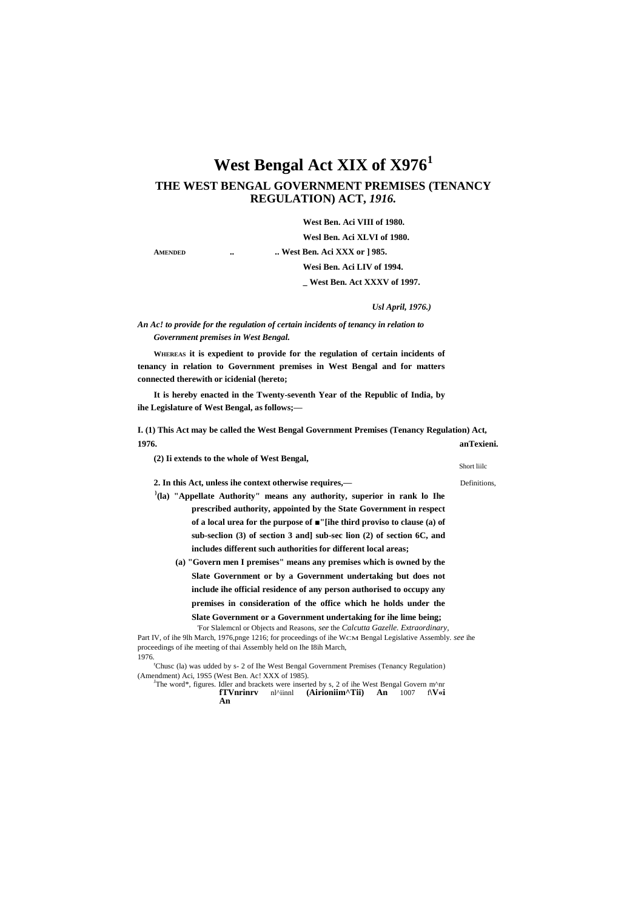# **West Bengal Act XIX of X976<sup>1</sup>**

# **THE WEST BENGAL GOVERNMENT PREMISES (TENANCY REGULATION) ACT,** *1916.*

**West Ben. Aci VIII of 1980.**

**Wesl Ben. Aci XLVI of 1980.**

**AMENDED .. .. West Ben. Aci XXX or ] 985.**

**Wesi Ben. Aci LIV of 1994.**

**\_ West Ben. Act XXXV of 1997.**

*Usl April, 1976.)*

## *An Ac! to provide for the regulation of certain incidents of tenancy in relation to Government premises in West Bengal.*

**WHEREAS it is expedient to provide for the regulation of certain incidents of tenancy in relation to Government premises in West Bengal and for matters connected therewith or icidenial (hereto;**

**It is hereby enacted in the Twenty-seventh Year of the Republic of India, by ihe Legislature of West Bengal, as follows;—**

**I. (1) This Act may be called the West Bengal Government Premises (Tenancy Regulation) Act, 1976. anTexieni.**

**(2) Ii extends to the whole of West Bengal,**

**2. In this Act, unless ihe context otherwise requires,—** Definitions,

- **} (la) "Appellate Authority" means any authority, superior in rank lo Ihe prescribed authority, appointed by the State Government in respect of a local urea for the purpose of ■"[ihe third proviso to clause (a) of sub-seclion (3) of section 3 and] sub-sec lion (2) of section 6C, and includes different such authorities for different local areas;**
	- **(a) "Govern men I premises" means any premises which is owned by the Slate Government or by a Government undertaking but does not include ihe official residence of any person authorised to occupy any premises in consideration of the office which he holds under the**

**Slate Government or a Government undertaking for ihe lime being;**

'For Slalemcnl or Objects and Reasons, *see* the *Calcutta Gazelle. Extraordinary,* Part IV, of ihe 9lh March, 1976,pnge 1216; for proceedings of ihe WCM Bengal Legislative Assembly. *see* ihe proceedings of ihe meeting of thai Assembly held on Ihe I8ih March, 1976.

<sup>r</sup>Chusc (la) was udded by s- 2 of Ihe West Bengal Government Premises (Tenancy Regulation) (Amendment) Aci, 19S5 (West Ben. Ac! XXX of 1985).

The word\*, figures. Idler and brackets were inserted by s, 2 of ihe West Bengal Govern m^nr **fTVnrinrv** n<sup>1</sup>^iinnl (Airioniim^Tii) An 1007 f\V<i **fTVnrinrv** nl^iinnl **(Airioniim^Tii) An**

Short liilc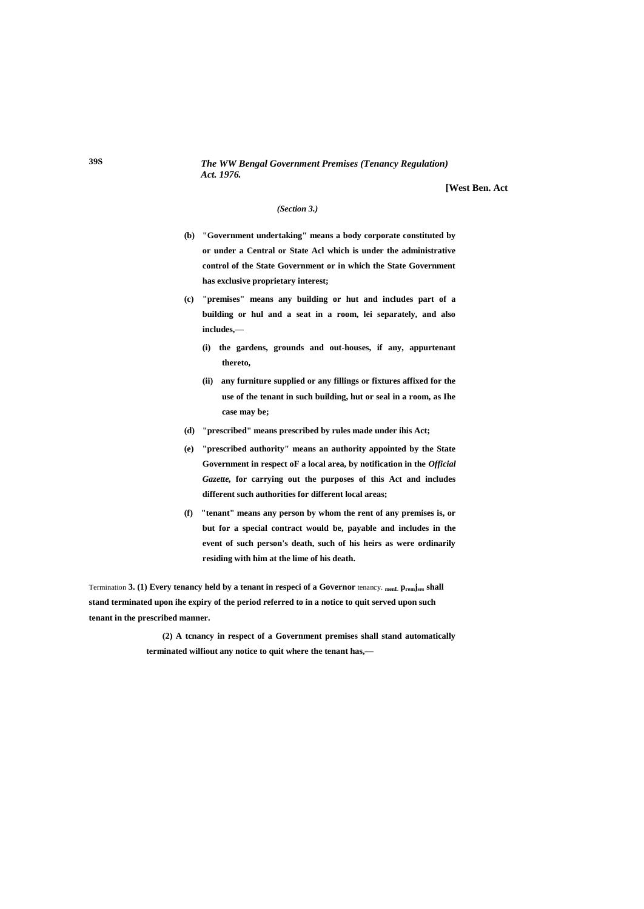### *The WW Bengal Government Premises (Tenancy Regulation) Act. 1976.*

**[West Ben. Act**

#### *(Section 3.)*

- **(b) "Government undertaking" means a body corporate constituted by or under a Central or State Acl which is under the administrative control of the State Government or in which the State Government has exclusive proprietary interest;**
- **(c) "premises" means any building or hut and includes part of a building or hul and a seat in a room, lei separately, and also includes,—**
	- **(i) the gardens, grounds and out-houses, if any, appurtenant thereto,**
	- **(ii) any furniture supplied or any fillings or fixtures affixed for the use of the tenant in such building, hut or seal in a room, as Ihe case may be;**
- **(d) "prescribed" means prescribed by rules made under ihis Act;**
- **(e) "prescribed authority" means an authority appointed by the State Government in respect oF a local area, by notification in the** *Official Gazette,* **for carrying out the purposes of this Act and includes different such authorities for different local areas;**
- **(f) "tenant" means any person by whom the rent of any premises is, or but for a special contract would be, payable and includes in the event of such person's death, such of his heirs as were ordinarily residing with him at the lime of his death.**

Termination 3. (1) Every tenancy held by a tenant in respeci of a Governor tenancy.  $_{\text{ment}}$  p<sub>rem</sub>j<sub>ses</sub> shall **stand terminated upon ihe expiry of the period referred to in a notice to quit served upon such tenant in the prescribed manner.**

> **(2) A tcnancy in respect of a Government premises shall stand automatically terminated wilfiout any notice to quit where the tenant has,—**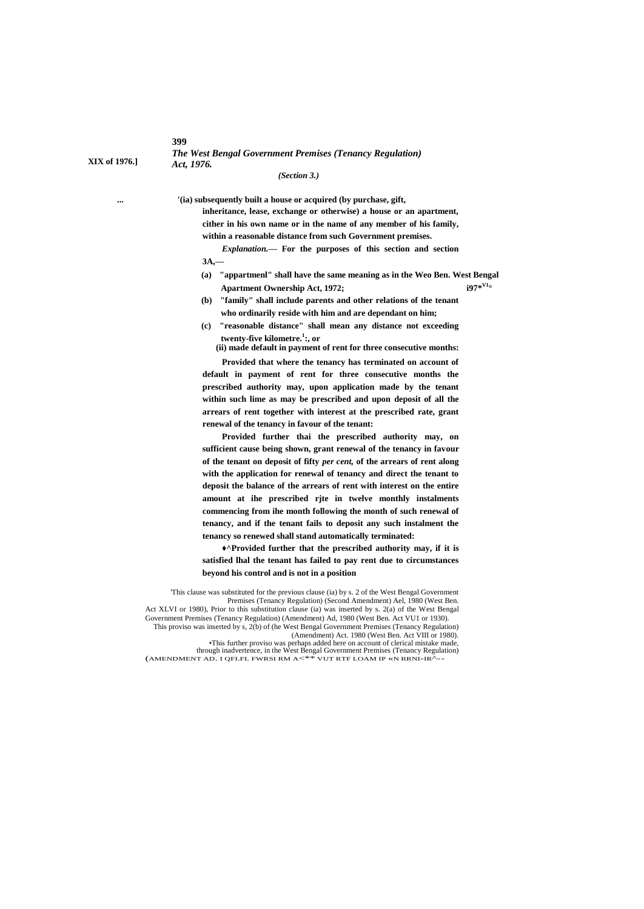**399**

*The West Bengal Government Premises (Tenancy Regulation)* **XIX of 1976.]** *Act, 1976.*

*(Section 3.)*

**... '(ia) subsequently built a house or acquired (by purchase, gift,**

**inheritance, lease, exchange or otherwise) a house or an apartment, cither in his own name or in the name of any member of his family, within a reasonable distance from such Government premises.**

*Explanation.—* **For the purposes of this section and section 3A,—**

**(a) "appartmenl" shall have the same meaning as in the Weo Ben. West Bengal Apartment Ownership Act, 1972; i97\*V1°**

**(b) "family" shall include parents and other relations of the tenant who ordinarily reside with him and are dependant on him;**

- **(c) "reasonable distance" shall mean any distance not exceeding twenty-five kilometre.<sup>1</sup> :, or**
	- **(ii) made default in payment of rent for three consecutive months:**

**Provided that where the tenancy has terminated on account of default in payment of rent for three consecutive months the prescribed authority may, upon application made by the tenant within such lime as may be prescribed and upon deposit of all the arrears of rent together with interest at the prescribed rate, grant renewal of the tenancy in favour of the tenant:**

**Provided further thai the prescribed authority may, on sufficient cause being shown, grant renewal of the tenancy in favour of the tenant on deposit of fifty** *per cent,* **of the arrears of rent along with the application for renewal of tenancy and direct the tenant to deposit the balance of the arrears of rent with interest on the entire amount at ihe prescribed rjte in twelve monthly instalments commencing from ihe month following the month of such renewal of tenancy, and if the tenant fails to deposit any such instalment the tenancy so renewed shall stand automatically terminated:**

**♦^Provided further that the prescribed authority may, if it is satisfied lhal the tenant has failed to pay rent due to circumstances beyond his control and is not in a position**

'This clause was substituted for the previous clause (ia) by s. 2 of the West Bengal Government Premises (Tenancy Regulation) (Second Amendment) Ael, 1980 (West Ben. Act XLVI or 1980), Prior to this substitution clause (ia) was inserted by s. 2(a) of the West Bengal Government Premises (Tenancy Regulation) (Amendment) Ad, 1980 (West Ben. Act VU1 or 1930). This proviso was inserted by s, 2(b) of (he West Bengal Government Premises (Tenancy Regulation)

(Amendment) Act. 1980 (West Ben. Act VIII or 1980). •This further proviso was perhaps added here on account of clerical mistake made,

through inadvertence, in the West Bengal Government Premises (Tenancy Regulation) (AMENDMENT AD. I QFLFL FWRSI RM A<\*\* VUT RTF LOAM IP «N RRNI-IR^--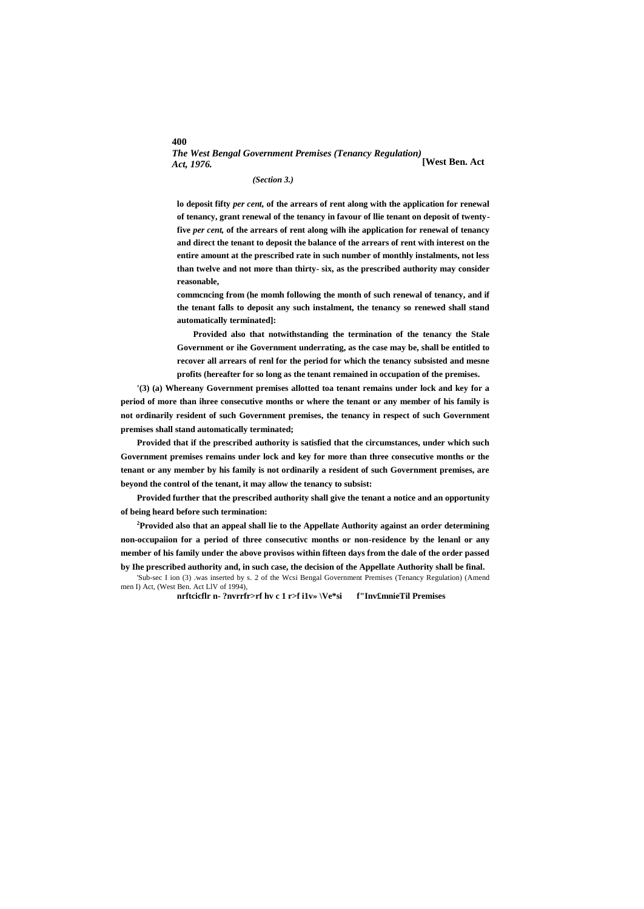# *The West Bengal Government Premises (Tenancy Regulation) Act, 1976.* **[West Ben. Act**

#### *(Section 3.)*

**lo deposit fifty** *per cent,* **of the arrears of rent along with the application for renewal of tenancy, grant renewal of the tenancy in favour of llie tenant on deposit of twentyfive** *per cent,* **of the arrears of rent along wilh ihe application for renewal of tenancy and direct the tenant to deposit the balance of the arrears of rent with interest on the entire amount at the prescribed rate in such number of monthly instalments, not less than twelve and not more than thirty- six, as the prescribed authority may consider reasonable,**

**commcncing from (he momh following the month of such renewal of tenancy, and if the tenant falls to deposit any such instalment, the tenancy so renewed shall stand automatically terminated]:**

**Provided also that notwithstanding the termination of the tenancy the Stale Government or ihe Government underrating, as the case may be, shall be entitled to recover all arrears of renl for the period for which the tenancy subsisted and mesne profits (hereafter for so long as the tenant remained in occupation of the premises.**

**'(3) (a) Whereany Government premises allotted toa tenant remains under lock and key for a period of more than ihree consecutive months or where the tenant or any member of his family is not ordinarily resident of such Government premises, the tenancy in respect of such Government premises shall stand automatically terminated;**

**Provided that if the prescribed authority is satisfied that the circumstances, under which such Government premises remains under lock and key for more than three consecutive months or the tenant or any member by his family is not ordinarily a resident of such Government premises, are beyond the control of the tenant, it may allow the tenancy to subsist:**

**Provided further that the prescribed authority shall give the tenant a notice and an opportunity of being heard before such termination:**

**<sup>2</sup>Provided also that an appeal shall lie to the Appellate Authority against an order determining non-occupaiion for a period of three consecutivc months or non-residence by the lenanl or any member of his family under the above provisos within fifteen days from the dale of the order passed by Ihe prescribed authority and, in such case, the decision of the Appellate Authority shall be final.**

'Sub-sec I ion (3) .was inserted by s. 2 of the Wcsi Bengal Government Premises (Tenancy Regulation) (Amend men I) Act, (West Ben. Act LlV of 1994),

**nrftcicflr n- ?nvrrfr>rf hv c 1 r>f i1v» \Ve\*si f"Inv£mnieTil Premises**

#### **400**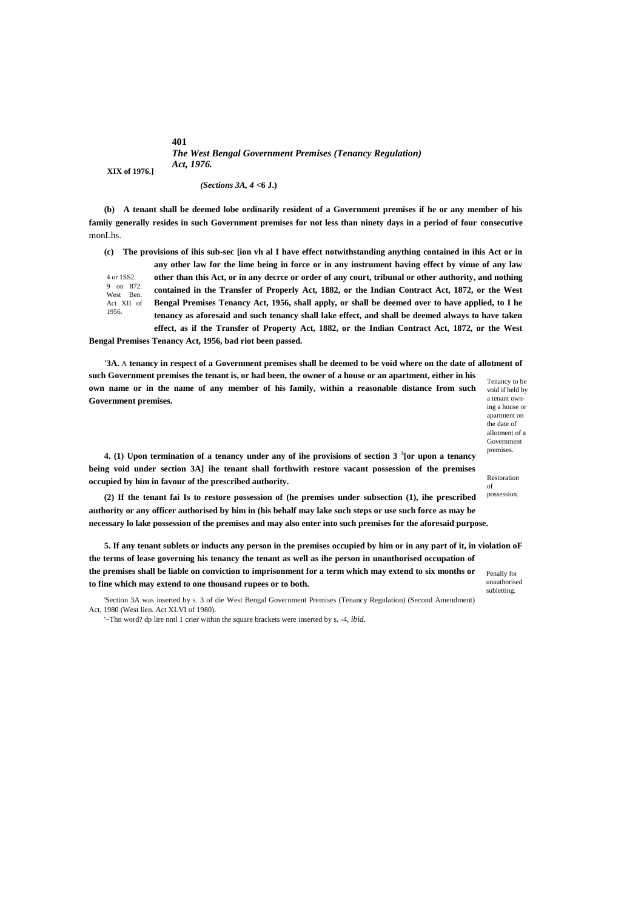**401** *The West Bengal Government Premises (Tenancy Regulation) Act, 1976.* **XIX of 1976.]**

*(Sections 3A, 4* **<6 J.)**

**(b) A tenant shall be deemed lobe ordinarily resident of a Government premises if he or any member of his famiiy generally resides in such Government premises for not less than ninety days in a period of four consecutive** monLhs.

4 or 1SS2. 9 on 872. West Ben. Act XII of 1956. **(c) The provisions of ihis sub-sec [ion vh al I have effect notwithstanding anything contained in ihis Act or in any other law for the lime being in force or in any instrument having effect by vinue of any law other than this Act, or in any decrce or order of any court, tribunal or other authority, and nothing contained in the Transfer of Properly Act, 1882, or the Indian Contract Act, 1872, or the West Bengal Premises Tenancy Act, 1956, shall apply, or shall be deemed over to have applied, to I he tenancy as aforesaid and such tenancy shall lake effect, and shall be deemed always to have taken effect, as if the Transfer of Property Act, 1882, or the Indian Contract Act, 1872, or the West** 

**Bengal Premises Tenancy Act, 1956, bad riot been passed.**

**Government premises.**

Tenancy to be **'3A.** A **tenancy in respect of a Government premises shall be deemed to be void where on the date of allotment of such Government premises the tenant is, or had been, the owner of a house or an apartment, either in his own name or in the name of any member of his family, within a reasonable distance from such** 

void if held by a tenant owning a house or apartment on the date of allotment of a Government premises.

**4. (1) Upon termination of a tenancy under any of ihe provisions of section 3 <sup>3</sup> [or upon a tenancy being void under section 3A] ihe tenant shall forthwith restore vacant possession of the premises occupied by him in favour of the prescribed authority.**

**(2) If the tenant fai Is to restore possession of (he premises under subsection (1), ihe prescribed authority or any officer authorised by him in (his behalf may lake such steps or use such force as may be necessary lo lake possession of the premises and may also enter into such premises for the aforesaid purpose.**

Penally for **5. If any tenant sublets or inducts any person in the premises occupied by him or in any part of it, in violation oF the terms of lease governing his tenancy the tenant as well as ihe person in unauthorised occupation of the premises shall be liable on conviction to imprisonment for a term which may extend to six months or to fine which may extend to one thousand rupees or to both.**

'Section 3A was inserted by s. 3 of die West Bengal Government Premises (Tenancy Regulation) (Second Amendment) Act, 1980 (West lien. Act XLVI of 1980).

'~Thn word? dp lire nntl 1 crier within the square brackets were inserted by s. -4, *ibid.*

unauthorised subletting.

of possession.

Restoration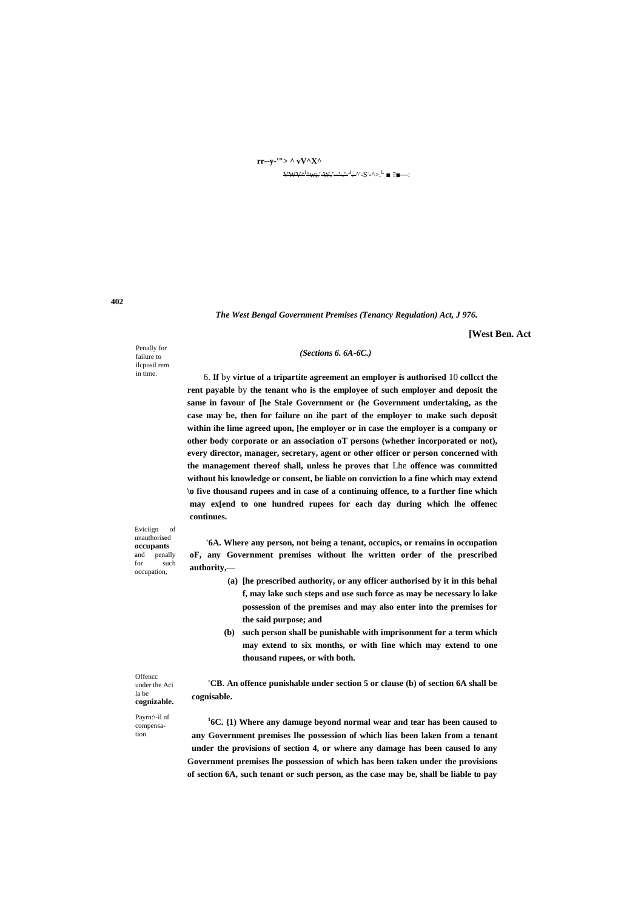# **rr--y-'"> ^ vV^X^**  $VWV^{\Delta^l\Delta}W$ ;.'-W.'----'-'<sup>--'</sup>--^'-S`-^>.<sup>L</sup> ■ ?■—:

*The West Bengal Government Premises (Tenancy Regulation) Act, J 976.*

**[West Ben. Act**

Penally for failure to ilcposil rem in time.

## *(Sections 6. 6A-6C.)*

6. **If** by **virtue of a tripartite agreement an employer is authorised** 10 **collcct the rent payable** by **the tenant who is the employee of such employer and deposit the same in favour of [he Stale Government or (he Government undertaking, as the case may be, then for failure on ihe part of the employer to make such deposit within ihe lime agreed upon, [he employer or in case the employer is a company or other body corporate or an association oT persons (whether incorporated or not), every director, manager, secretary, agent or other officer or person concerned with the management thereof shall, unless he proves that** Lhe **offence was committed without his knowledge or consent, be liable on conviction lo a fine which may extend \o five thousand rupees and in case of a continuing offence, to a further fine which may ex[end to one hundred rupees for each day during which lhe offenec continues.**

**'6A. Where any person, not being a tenant, occupics, or remains in occupation oF, any Government premises without lhe written order of the prescribed authority,—**

- **(a) [he prescribed authority, or any officer authorised by it in this behal f, may lake such steps and use such force as may be necessary lo lake possession of the premises and may also enter into the premises for the said purpose; and**
- **(b) such person shall be punishable with imprisonment for a term which may extend to six months, or with fine which may extend to one thousand rupees, or with both.**

**'CB. An offence punishable under section 5 or clause (b) of section 6A shall be cognisable.**

**1 6C. {1) Where any damuge beyond normal wear and tear has been caused to any Government premises lhe possession of which lias been laken from a tenant under the provisions of section 4, or where any damage has been caused lo any Government premises lhe possession of which has been taken under the provisions of section 6A, such tenant or such person, as the case may be, shall be liable to pay** 

Eviciign of unauthorised **occupants**  and penally<br>for such such occupation,

**Offencc** under the Aci la be **cognizable.** Payrn:\-il nf compensation.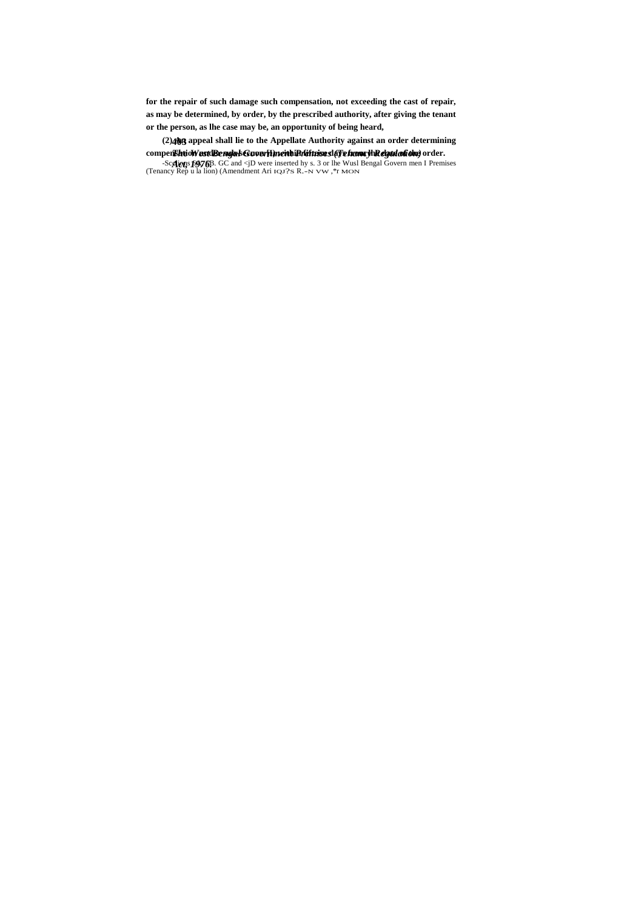for the repair of such damage such compensation, not exceeding the cast of repair, as may be determined, by order, by the prescribed authority, after giving the tenant or the person, as lhe case may be, an opportunity of being heard,

(2) 403 appeal shall lie to the Appellate Authority against an order determining

compensation and the contract of the set of the set of the set of the set of the set of the set of the set of the set of the set of the set of the set of the set of the set of the set of the set of the set of the set of th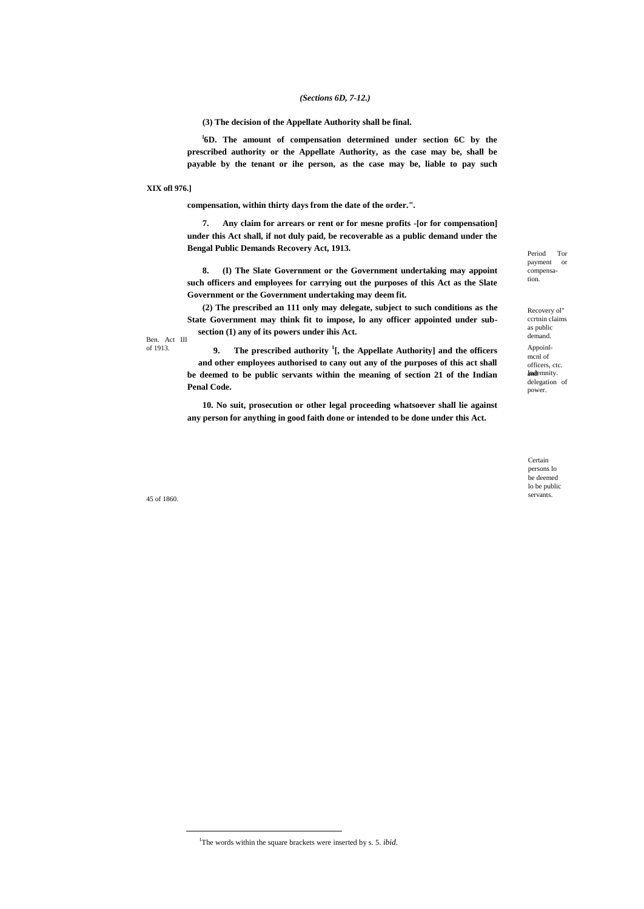## *(Sections 6D, 7-12.)*

**(3) The decision of the Appellate Authority shall be final.**

**l 6D. The amount of compensation determined under section 6C by the prescribed authority or the Appellate Authority, as the case may be, shall be payable by the tenant or ihe person, as the case may be, liable to pay such** 

**XIX ofl 976.]**

**compensation, within thirty days from the date of the order.".**

**7. Any claim for arrears or rent or for mesne profits -[or for compensation] under this Act shall, if not duly paid, be recoverable as a public demand under the Bengal Public Demands Recovery Act, 1913.**

**8. (I) The Slate Government or the Government undertaking may appoint such officers and employees for carrying out the purposes of this Act as the Slate Government or the Government undertaking may deem fit.**

**(2) The prescribed an 111 only may delegate, subject to such conditions as the State Government may think fit to impose, lo any officer appointed under subsection (1) any of its powers under ihis Act.**

Ben. Act III of 1913.

**9. The prescribed authority <sup>1</sup> [, the Appellate Authority] and the officers and other employees authorised to cany out any of the purposes of this act shall be deemed to be public servants within the meaning of section 21 of the Indian Penal Code.**

**10. No suit, prosecution or other legal proceeding whatsoever shall lie against any person for anything in good faith done or intended to be done under this Act.**

payment or compensation.

Period Tor

Recovery ol" ccrtnin claims as public demand. Appoinlmcnl of officers, ctc. and Indemnity. delegation of power.

Certain persons lo be deemed lo be public

servants. 45 of 1860.

 $\overline{a}$ 

<sup>&</sup>lt;sup>1</sup>The words within the square brackets were inserted by s. 5. *ibid.*